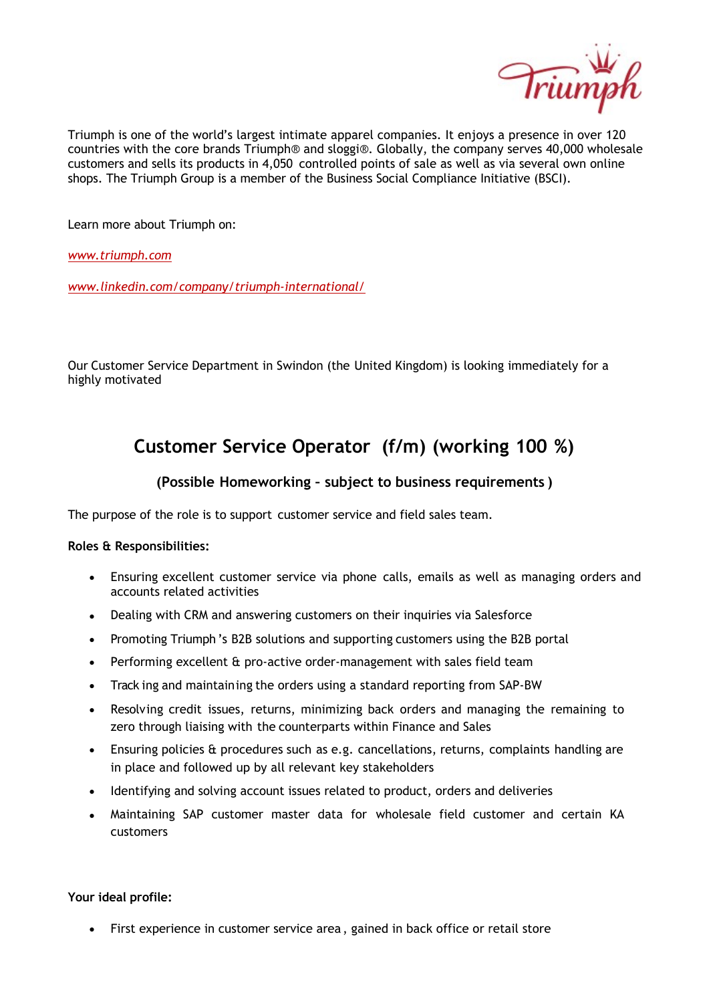

Triumph is one of the world's largest intimate apparel companies. It enjoys a presence in over 120 countries with the core brands Triumph® and sloggi®. Globally, the company serves 40,000 wholesale customers and sells its products in 4,050 controlled points of sale as well as via several own online shops. The Triumph Group is a member of the Business Social Compliance Initiative (BSCI).

Learn more about Triumph on:

*www.triumph.com*

*www.linkedin.com/company/triumph‐international/*

Our Customer Service Department in Swindon (the United Kingdom) is looking immediately for a highly motivated

## **Customer Service Operator (f/m) (working 100 %)**

## **(Possible Homeworking – subject to business requirements )**

The purpose of the role is to support customer service and field sales team.

## **Roles & Responsibilities:**

- · Ensuring excellent customer service via phone calls, emails as well as managing orders and accounts related activities
- · Dealing with CRM and answering customers on their inquiries via Salesforce
- · Promoting Triumph 's B2B solutions and supporting customers using the B2B portal
- · Performing excellent & pro‐active order‐management with sales field team
- · Track ing and maintaining the orders using a standard reporting from SAP‐BW
- Resolving credit issues, returns, minimizing back orders and managing the remaining to zero through liaising with the counterparts within Finance and Sales
- Ensuring policies & procedures such as e.g. cancellations, returns, complaints handling are in place and followed up by all relevant key stakeholders
- · Identifying and solving account issues related to product, orders and deliveries
- · Maintaining SAP customer master data for wholesale field customer and certain KA customers

**Your ideal profile:**

· First experience in customer service area , gained in back office or retail store